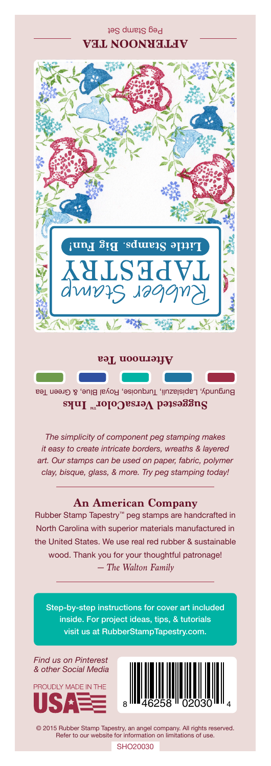Peg Stamp Set **AFTERNOON TEA**



**Afternoon Tea**

Burgundy, Lapislazuli, Turquoise, Royal Blue, & Green Tea Suggested VersaColor<sup>m</sup> Inks

*The simplicity of component peg stamping makes it easy to create intricate borders, wreaths & layered art. Our stamps can be used on paper, fabric, polymer clay, bisque, glass, & more. Try peg stamping today!*

## **An American Company**

*— The Walton Family* Rubber Stamp Tapestry™ peg stamps are handcrafted in North Carolina with superior materials manufactured in the United States. We use real red rubber & sustainable wood. Thank you for your thoughtful patronage!

Step-by-step instructions for cover art included inside. For project ideas, tips, & tutorials visit us at RubberStampTapestry.com.

*Find us on Pinterest & other Social Media*





© 2015 Rubber Stamp Tapestry, an angel company. All rights reserved. Refer to our website for information on limitations of use.